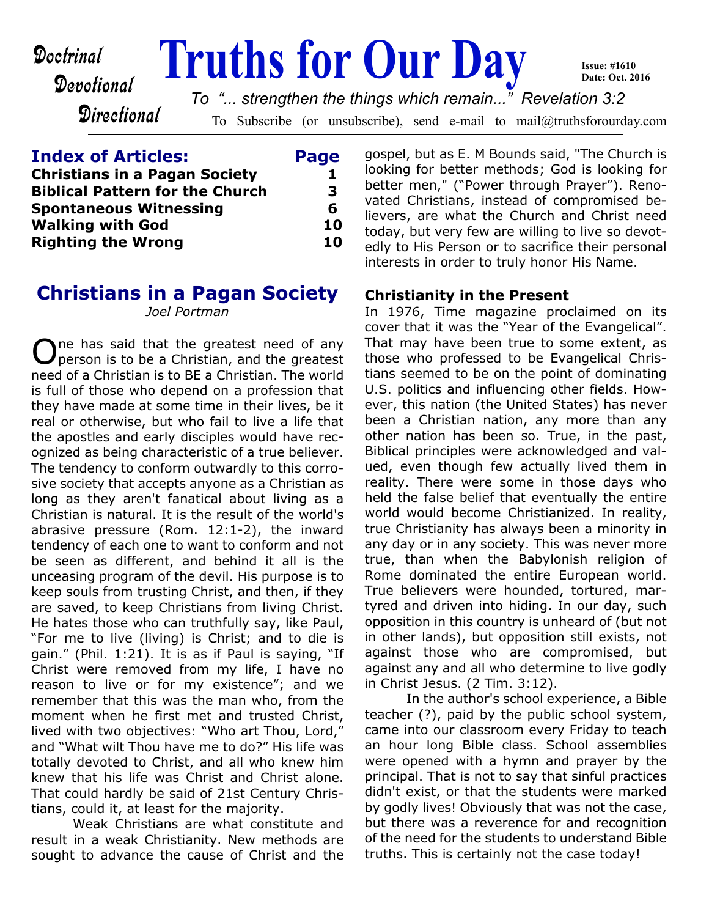Devotional

Directional

# **Doctrinal Fruths for Our Day**

To Subscribe (or unsubscribe), send e-mail to mail@truthsforourday.com *To "... strengthen the things which remain..." Revelation 3:2*

**Index of Articles: Page Christians in a Pagan Society 1 Biblical Pattern for the Church 3 Spontaneous Witnessing 6 Walking with God 10 Righting the Wrong 10**

# **Christians in a Pagan Society**

*Joel Portman*

One has said that the greatest need of any<br>Operson is to be a Christian, and the greatest person is to be a Christian, and the greatest need of a Christian is to BE a Christian. The world is full of those who depend on a profession that they have made at some time in their lives, be it real or otherwise, but who fail to live a life that the apostles and early disciples would have recognized as being characteristic of a true believer. The tendency to conform outwardly to this corrosive society that accepts anyone as a Christian as long as they aren't fanatical about living as a Christian is natural. It is the result of the world's abrasive pressure (Rom. 12:1-2), the inward tendency of each one to want to conform and not be seen as different, and behind it all is the unceasing program of the devil. His purpose is to keep souls from trusting Christ, and then, if they are saved, to keep Christians from living Christ. He hates those who can truthfully say, like Paul, "For me to live (living) is Christ; and to die is gain." (Phil. 1:21). It is as if Paul is saying, "If Christ were removed from my life, I have no reason to live or for my existence"; and we remember that this was the man who, from the moment when he first met and trusted Christ, lived with two objectives: "Who art Thou, Lord," and "What wilt Thou have me to do?" His life was totally devoted to Christ, and all who knew him knew that his life was Christ and Christ alone. That could hardly be said of 21st Century Christians, could it, at least for the majority.

 Weak Christians are what constitute and result in a weak Christianity. New methods are sought to advance the cause of Christ and the

gospel, but as E. M Bounds said, "The Church is looking for better methods; God is looking for better men," ("Power through Prayer"). Renovated Christians, instead of compromised believers, are what the Church and Christ need today, but very few are willing to live so devotedly to His Person or to sacrifice their personal interests in order to truly honor His Name.

**Issue: #1610 Date: Oct. 2016**

### **Christianity in the Present**

In 1976, Time magazine proclaimed on its cover that it was the "Year of the Evangelical". That may have been true to some extent, as those who professed to be Evangelical Christians seemed to be on the point of dominating U.S. politics and influencing other fields. However, this nation (the United States) has never been a Christian nation, any more than any other nation has been so. True, in the past, Biblical principles were acknowledged and valued, even though few actually lived them in reality. There were some in those days who held the false belief that eventually the entire world would become Christianized. In reality, true Christianity has always been a minority in any day or in any society. This was never more true, than when the Babylonish religion of Rome dominated the entire European world. True believers were hounded, tortured, martyred and driven into hiding. In our day, such opposition in this country is unheard of (but not in other lands), but opposition still exists, not against those who are compromised, but against any and all who determine to live godly in Christ Jesus. (2 Tim. 3:12).

 In the author's school experience, a Bible teacher (?), paid by the public school system, came into our classroom every Friday to teach an hour long Bible class. School assemblies were opened with a hymn and prayer by the principal. That is not to say that sinful practices didn't exist, or that the students were marked by godly lives! Obviously that was not the case, but there was a reverence for and recognition of the need for the students to understand Bible truths. This is certainly not the case today!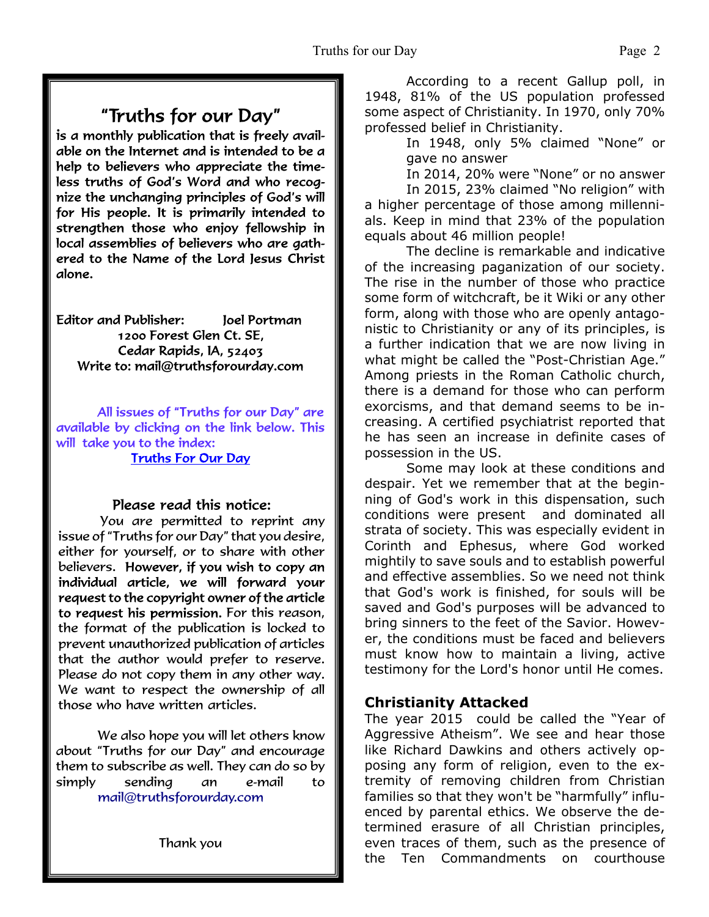### "Truths for our Day"

is a monthly publication that is freely available on the Internet and is intended to be a help to believers who appreciate the timeless truths of God's Word and who recognize the unchanging principles of God's will for His people. It is primarily intended to strengthen those who enjoy fellowship in local assemblies of believers who are gathered to the Name of the Lord Jesus Christ alone.

**Editor and Publisher:** Joel Portman 1200 Forest Glen Ct. SE. Cedar Rapids, IA, 52403 Write to: mail@truthsforourday.com

All issues of "Truths for our Day" are available by clicking on the link below. This will take you to the index: **Truths For Our Day** 

#### Please read this notice:

You are permitted to reprint any issue of "Truths for our Day" that you desire, either for yourself, or to share with other believers. However, if you wish to copy an individual article, we will forward your request to the copyright owner of the article to request his permission. For this reason, the format of the publication is locked to prevent unauthorized publication of articles that the author would prefer to reserve. Please do not copy them in any other way. We want to respect the ownership of all those who have written articles.

 We also hope you will let others know about "Truths for our Day" and encourage them to subscribe as well. They can do so by simply sending an e-mail to mail@truthsforourday.com

 According to a recent Gallup poll, in 1948, 81% of the US population professed some aspect of Christianity. In 1970, only 70% professed belief in Christianity.

 In 1948, only 5% claimed "None" or gave no answer

In 2014, 20% were "None" or no answer

 In 2015, 23% claimed "No religion" with a higher percentage of those among millennials. Keep in mind that 23% of the population equals about 46 million people!

 The decline is remarkable and indicative of the increasing paganization of our society. The rise in the number of those who practice some form of witchcraft, be it Wiki or any other form, along with those who are openly antagonistic to Christianity or any of its principles, is a further indication that we are now living in what might be called the "Post-Christian Age." Among priests in the Roman Catholic church, there is a demand for those who can perform exorcisms, and that demand seems to be increasing. A certified psychiatrist reported that he has seen an increase in definite cases of possession in the US.

 Some may look at these conditions and despair. Yet we remember that at the beginning of God's work in this dispensation, such conditions were present and dominated all strata of society. This was especially evident in Corinth and Ephesus, where God worked mightily to save souls and to establish powerful and effective assemblies. So we need not think that God's work is finished, for souls will be saved and God's purposes will be advanced to bring sinners to the feet of the Savior. However, the conditions must be faced and believers must know how to maintain a living, active testimony for the Lord's honor until He comes.

### **Christianity Attacked**

The year 2015 could be called the "Year of Aggressive Atheism". We see and hear those like Richard Dawkins and others actively opposing any form of religion, even to the extremity of removing children from Christian families so that they won't be "harmfully" influenced by parental ethics. We observe the determined erasure of all Christian principles, even traces of them, such as the presence of the Ten Commandments on courthouse

Thank you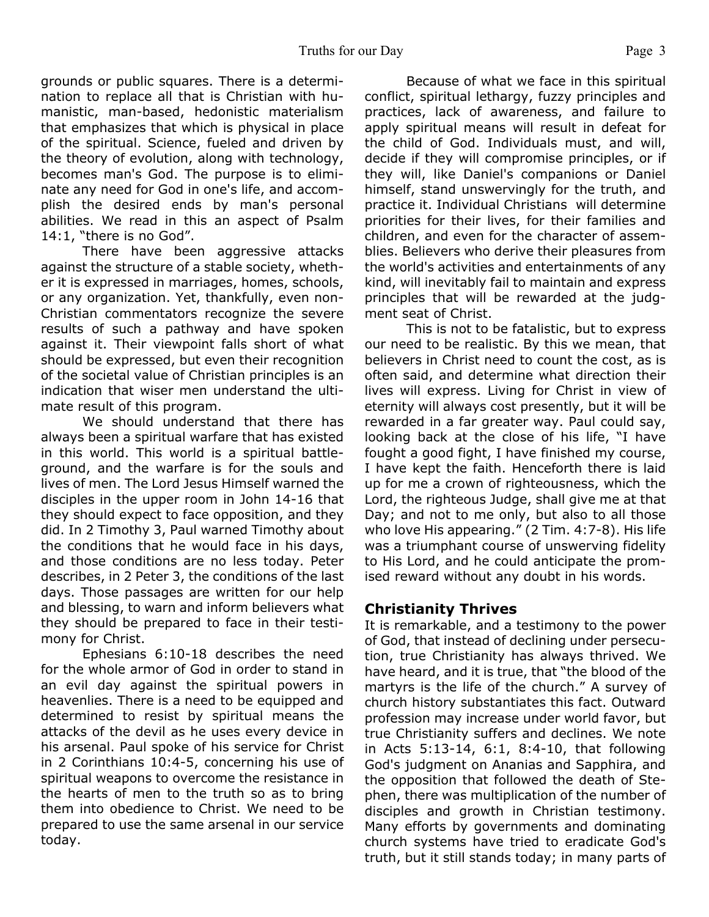grounds or public squares. There is a determination to replace all that is Christian with humanistic, man-based, hedonistic materialism that emphasizes that which is physical in place of the spiritual. Science, fueled and driven by the theory of evolution, along with technology, becomes man's God. The purpose is to eliminate any need for God in one's life, and accomplish the desired ends by man's personal abilities. We read in this an aspect of Psalm 14:1, "there is no God".

 There have been aggressive attacks against the structure of a stable society, whether it is expressed in marriages, homes, schools, or any organization. Yet, thankfully, even non-Christian commentators recognize the severe results of such a pathway and have spoken against it. Their viewpoint falls short of what should be expressed, but even their recognition of the societal value of Christian principles is an indication that wiser men understand the ultimate result of this program.

 We should understand that there has always been a spiritual warfare that has existed in this world. This world is a spiritual battleground, and the warfare is for the souls and lives of men. The Lord Jesus Himself warned the disciples in the upper room in John 14-16 that they should expect to face opposition, and they did. In 2 Timothy 3, Paul warned Timothy about the conditions that he would face in his days, and those conditions are no less today. Peter describes, in 2 Peter 3, the conditions of the last days. Those passages are written for our help and blessing, to warn and inform believers what they should be prepared to face in their testimony for Christ.

 Ephesians 6:10-18 describes the need for the whole armor of God in order to stand in an evil day against the spiritual powers in heavenlies. There is a need to be equipped and determined to resist by spiritual means the attacks of the devil as he uses every device in his arsenal. Paul spoke of his service for Christ in 2 Corinthians 10:4-5, concerning his use of spiritual weapons to overcome the resistance in the hearts of men to the truth so as to bring them into obedience to Christ. We need to be prepared to use the same arsenal in our service today.

 Because of what we face in this spiritual conflict, spiritual lethargy, fuzzy principles and practices, lack of awareness, and failure to apply spiritual means will result in defeat for the child of God. Individuals must, and will, decide if they will compromise principles, or if they will, like Daniel's companions or Daniel himself, stand unswervingly for the truth, and practice it. Individual Christians will determine priorities for their lives, for their families and children, and even for the character of assemblies. Believers who derive their pleasures from the world's activities and entertainments of any kind, will inevitably fail to maintain and express principles that will be rewarded at the judgment seat of Christ.

 This is not to be fatalistic, but to express our need to be realistic. By this we mean, that believers in Christ need to count the cost, as is often said, and determine what direction their lives will express. Living for Christ in view of eternity will always cost presently, but it will be rewarded in a far greater way. Paul could say, looking back at the close of his life, "I have fought a good fight, I have finished my course, I have kept the faith. Henceforth there is laid up for me a crown of righteousness, which the Lord, the righteous Judge, shall give me at that Day; and not to me only, but also to all those who love His appearing." (2 Tim. 4:7-8). His life was a triumphant course of unswerving fidelity to His Lord, and he could anticipate the promised reward without any doubt in his words.

### **Christianity Thrives**

It is remarkable, and a testimony to the power of God, that instead of declining under persecution, true Christianity has always thrived. We have heard, and it is true, that "the blood of the martyrs is the life of the church." A survey of church history substantiates this fact. Outward profession may increase under world favor, but true Christianity suffers and declines. We note in Acts 5:13-14, 6:1, 8:4-10, that following God's judgment on Ananias and Sapphira, and the opposition that followed the death of Stephen, there was multiplication of the number of disciples and growth in Christian testimony. Many efforts by governments and dominating church systems have tried to eradicate God's truth, but it still stands today; in many parts of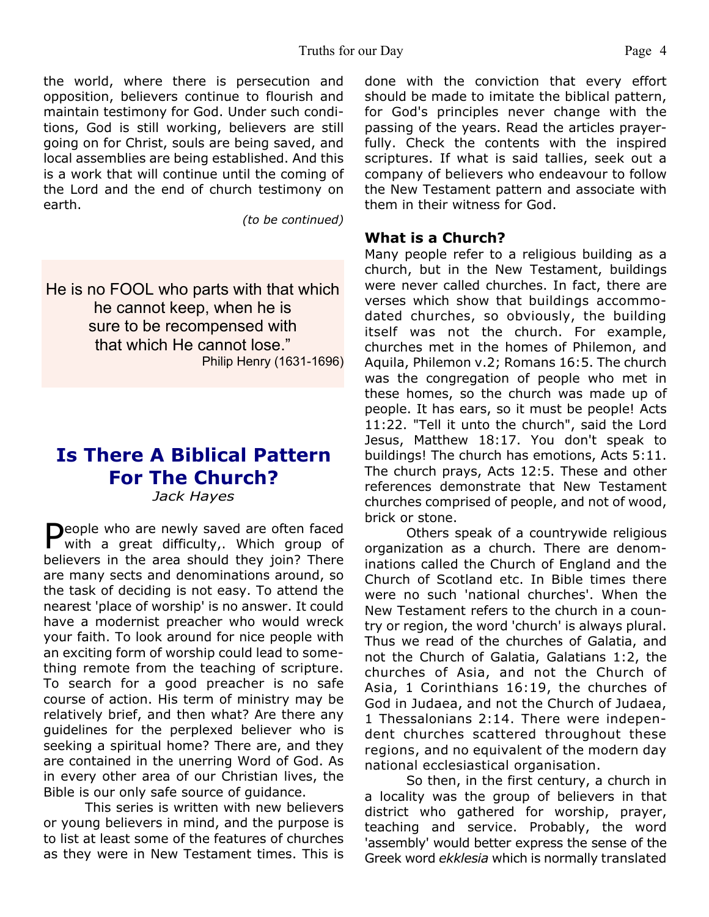#### Truths for our Day Page 4

the world, where there is persecution and opposition, believers continue to flourish and maintain testimony for God. Under such conditions, God is still working, believers are still going on for Christ, souls are being saved, and local assemblies are being established. And this is a work that will continue until the coming of the Lord and the end of church testimony on earth.

*(to be continued)*

He is no FOOL who parts with that which he cannot keep, when he is sure to be recompensed with that which He cannot lose." Philip Henry (1631-1696)

## **Is There A Biblical Pattern For The Church?**

*Jack Hayes*

People who are newly saved are often faced<br>with a great difficulty,. Which group of with a great difficulty,. Which group of believers in the area should they join? There are many sects and denominations around, so the task of deciding is not easy. To attend the nearest 'place of worship' is no answer. It could have a modernist preacher who would wreck your faith. To look around for nice people with an exciting form of worship could lead to something remote from the teaching of scripture. To search for a good preacher is no safe course of action. His term of ministry may be relatively brief, and then what? Are there any guidelines for the perplexed believer who is seeking a spiritual home? There are, and they are contained in the unerring Word of God. As in every other area of our Christian lives, the Bible is our only safe source of guidance.

 This series is written with new believers or young believers in mind, and the purpose is to list at least some of the features of churches as they were in New Testament times. This is done with the conviction that every effort should be made to imitate the biblical pattern, for God's principles never change with the passing of the years. Read the articles prayerfully. Check the contents with the inspired scriptures. If what is said tallies, seek out a company of believers who endeavour to follow the New Testament pattern and associate with them in their witness for God.

#### **What is a Church?**

Many people refer to a religious building as a church, but in the New Testament, buildings were never called churches. In fact, there are verses which show that buildings accommodated churches, so obviously, the building itself was not the church. For example, churches met in the homes of Philemon, and Aquila, Philemon v.2; Romans 16:5. The church was the congregation of people who met in these homes, so the church was made up of people. It has ears, so it must be people! Acts 11:22. "Tell it unto the church", said the Lord Jesus, Matthew 18:17. You don't speak to buildings! The church has emotions, Acts 5:11. The church prays, Acts 12:5. These and other references demonstrate that New Testament churches comprised of people, and not of wood, brick or stone.

 Others speak of a countrywide religious organization as a church. There are denominations called the Church of England and the Church of Scotland etc. In Bible times there were no such 'national churches'. When the New Testament refers to the church in a country or region, the word 'church' is always plural. Thus we read of the churches of Galatia, and not the Church of Galatia, Galatians 1:2, the churches of Asia, and not the Church of Asia, 1 Corinthians 16:19, the churches of God in Judaea, and not the Church of Judaea, 1 Thessalonians 2:14. There were independent churches scattered throughout these regions, and no equivalent of the modern day national ecclesiastical organisation.

 So then, in the first century, a church in a locality was the group of believers in that district who gathered for worship, prayer, teaching and service. Probably, the word 'assembly' would better express the sense of the Greek word *ekklesia* which is normally translated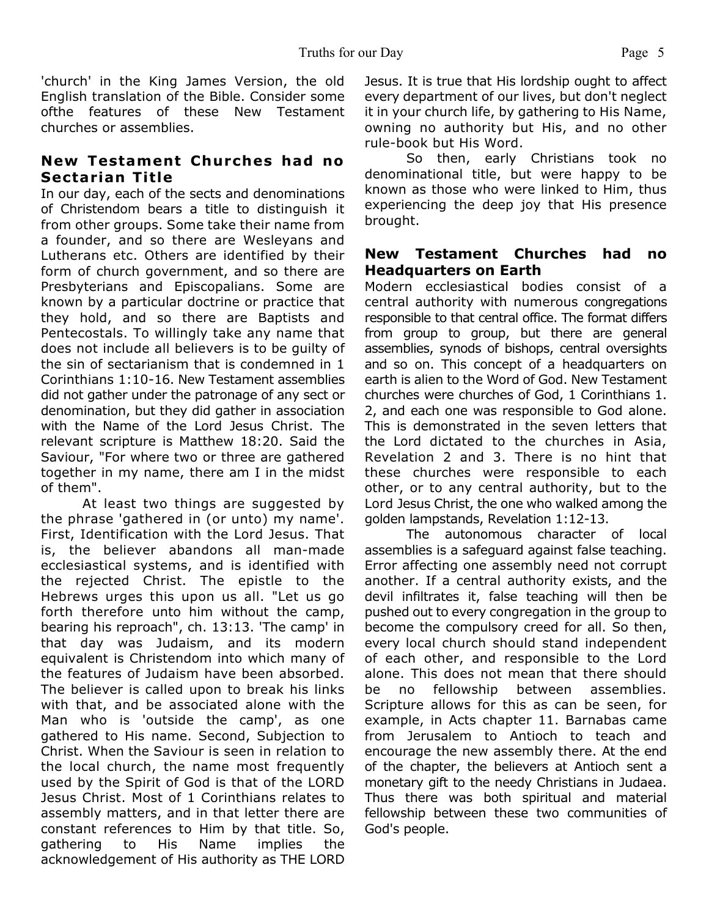'church' in the King James Version, the old English translation of the Bible. Consider some ofthe features of these New Testament churches or assemblies.

### **New Testament Churches had no Sectarian Title**

In our day, each of the sects and denominations of Christendom bears a title to distinguish it from other groups. Some take their name from a founder, and so there are Wesleyans and Lutherans etc. Others are identified by their form of church government, and so there are Presbyterians and Episcopalians. Some are known by a particular doctrine or practice that they hold, and so there are Baptists and Pentecostals. To willingly take any name that does not include all believers is to be guilty of the sin of sectarianism that is condemned in 1 Corinthians 1:10-16. New Testament assemblies did not gather under the patronage of any sect or denomination, but they did gather in association with the Name of the Lord Jesus Christ. The relevant scripture is Matthew 18:20. Said the Saviour, "For where two or three are gathered together in my name, there am I in the midst of them".

 At least two things are suggested by the phrase 'gathered in (or unto) my name'. First, Identification with the Lord Jesus. That is, the believer abandons all man-made ecclesiastical systems, and is identified with the rejected Christ. The epistle to the Hebrews urges this upon us all. "Let us go forth therefore unto him without the camp, bearing his reproach", ch. 13:13. 'The camp' in that day was Judaism, and its modern equivalent is Christendom into which many of the features of Judaism have been absorbed. The believer is called upon to break his links with that, and be associated alone with the Man who is 'outside the camp', as one gathered to His name. Second, Subjection to Christ. When the Saviour is seen in relation to the local church, the name most frequently used by the Spirit of God is that of the LORD Jesus Christ. Most of 1 Corinthians relates to assembly matters, and in that letter there are constant references to Him by that title. So, gathering to His Name implies the acknowledgement of His authority as THE LORD

Jesus. It is true that His lordship ought to affect every department of our lives, but don't neglect it in your church life, by gathering to His Name, owning no authority but His, and no other rule-book but His Word.

So then, early Christians took no denominational title, but were happy to be known as those who were linked to Him, thus experiencing the deep joy that His presence brought.

#### **New Testament Churches had no Headquarters on Earth**

Modern ecclesiastical bodies consist of a central authority with numerous congregations responsible to that central office. The format differs from group to group, but there are general assemblies, synods of bishops, central oversights and so on. This concept of a headquarters on earth is alien to the Word of God. New Testament churches were churches of God, 1 Corinthians 1. 2, and each one was responsible to God alone. This is demonstrated in the seven letters that the Lord dictated to the churches in Asia, Revelation 2 and 3. There is no hint that these churches were responsible to each other, or to any central authority, but to the Lord Jesus Christ, the one who walked among the golden lampstands, Revelation 1:12-13.

 The autonomous character of local assemblies is a safeguard against false teaching. Error affecting one assembly need not corrupt another. If a central authority exists, and the devil infiltrates it, false teaching will then be pushed out to every congregation in the group to become the compulsory creed for all. So then, every local church should stand independent of each other, and responsible to the Lord alone. This does not mean that there should be no fellowship between assemblies. Scripture allows for this as can be seen, for example, in Acts chapter 11. Barnabas came from Jerusalem to Antioch to teach and encourage the new assembly there. At the end of the chapter, the believers at Antioch sent a monetary gift to the needy Christians in Judaea. Thus there was both spiritual and material fellowship between these two communities of God's people.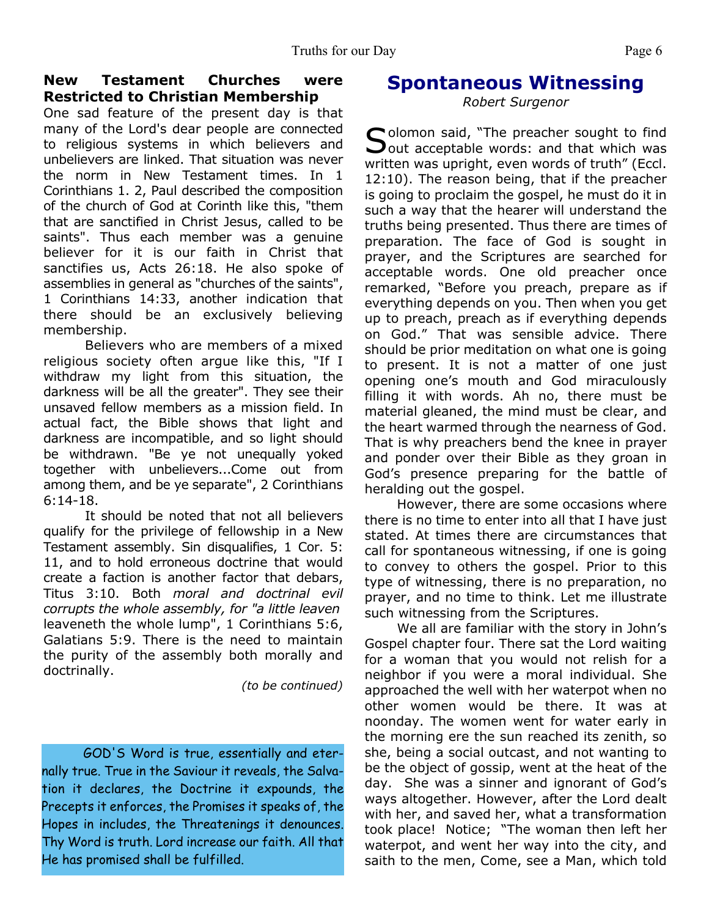One sad feature of the present day is that many of the Lord's dear people are connected to religious systems in which believers and unbelievers are linked. That situation was never the norm in New Testament times. In 1 Corinthians 1. 2, Paul described the composition of the church of God at Corinth like this, "them that are sanctified in Christ Jesus, called to be saints". Thus each member was a genuine believer for it is our faith in Christ that sanctifies us, Acts 26:18. He also spoke of assemblies in general as "churches of the saints", 1 Corinthians 14:33, another indication that there should be an exclusively believing membership.

 Believers who are members of a mixed religious society often argue like this, "If I withdraw my light from this situation, the darkness will be all the greater". They see their unsaved fellow members as a mission field. In actual fact, the Bible shows that light and darkness are incompatible, and so light should be withdrawn. "Be ye not unequally yoked together with unbelievers...Come out from among them, and be ye separate", 2 Corinthians 6:14-18.

 It should be noted that not all believers qualify for the privilege of fellowship in a New Testament assembly. Sin disqualifies, 1 Cor. 5: 11, and to hold erroneous doctrine that would create a faction is another factor that debars, Titus 3:10. Both *moral and doctrinal evil corrupts the whole assembly, for "a little leaven* leaveneth the whole lump", 1 Corinthians 5:6, Galatians 5:9. There is the need to maintain the purity of the assembly both morally and doctrinally.

*(to be continued)*

GOD'S Word is true, essentially and eternally true. True in the Saviour it reveals, the Salvation it declares, the Doctrine it expounds, the Precepts it enforces, the Promises it speaks of, the Hopes in includes, the Threatenings it denounces. Thy Word is truth. Lord increase our faith. All that He has promised shall be fulfilled.

### **Spontaneous Witnessing**

*Robert Surgenor*

Solomon said, "The preacher sought to find<br>Sout acceptable words: and that which was  $\mathbf{\sum}$ out acceptable words: and that which was written was upright, even words of truth" (Eccl. 12:10). The reason being, that if the preacher is going to proclaim the gospel, he must do it in such a way that the hearer will understand the truths being presented. Thus there are times of preparation. The face of God is sought in prayer, and the Scriptures are searched for acceptable words. One old preacher once remarked, "Before you preach, prepare as if everything depends on you. Then when you get up to preach, preach as if everything depends on God." That was sensible advice. There should be prior meditation on what one is going to present. It is not a matter of one just opening one's mouth and God miraculously filling it with words. Ah no, there must be material gleaned, the mind must be clear, and the heart warmed through the nearness of God. That is why preachers bend the knee in prayer and ponder over their Bible as they groan in God's presence preparing for the battle of heralding out the gospel.

 However, there are some occasions where there is no time to enter into all that I have just stated. At times there are circumstances that call for spontaneous witnessing, if one is going to convey to others the gospel. Prior to this type of witnessing, there is no preparation, no prayer, and no time to think. Let me illustrate such witnessing from the Scriptures.

 We all are familiar with the story in John's Gospel chapter four. There sat the Lord waiting for a woman that you would not relish for a neighbor if you were a moral individual. She approached the well with her waterpot when no other women would be there. It was at noonday. The women went for water early in the morning ere the sun reached its zenith, so she, being a social outcast, and not wanting to be the object of gossip, went at the heat of the day. She was a sinner and ignorant of God's ways altogether. However, after the Lord dealt with her, and saved her, what a transformation took place! Notice; "The woman then left her waterpot, and went her way into the city, and saith to the men, Come, see a Man, which told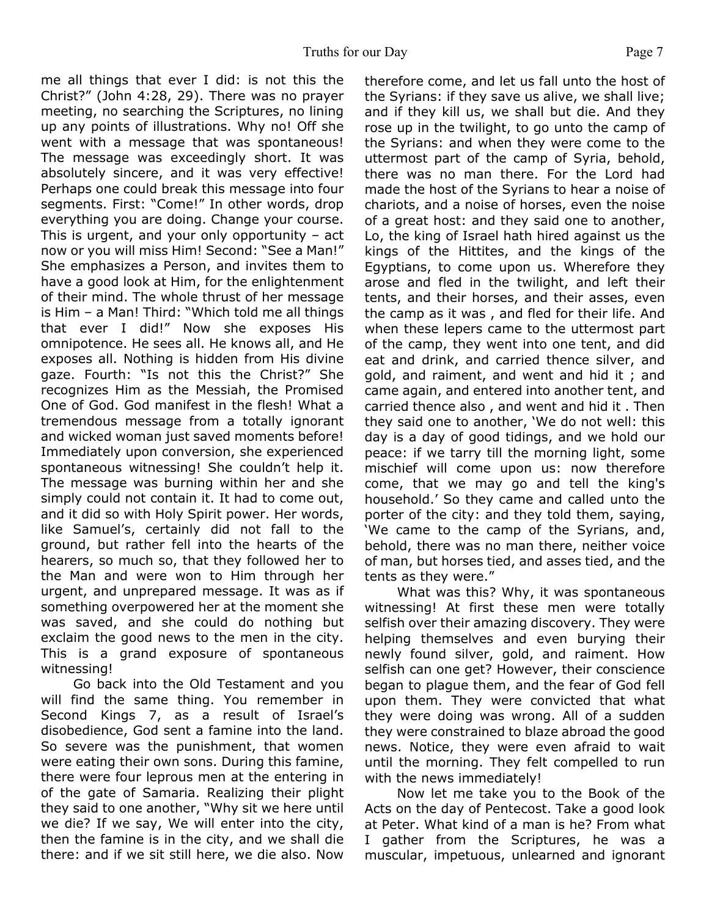Truths for our Day Page 7 me all things that ever I did: is not this the Christ?" (John 4:28, 29). There was no prayer

meeting, no searching the Scriptures, no lining up any points of illustrations. Why no! Off she went with a message that was spontaneous! The message was exceedingly short. It was absolutely sincere, and it was very effective! Perhaps one could break this message into four segments. First: "Come!" In other words, drop everything you are doing. Change your course. This is urgent, and your only opportunity – act now or you will miss Him! Second: "See a Man!" She emphasizes a Person, and invites them to have a good look at Him, for the enlightenment of their mind. The whole thrust of her message is Him – a Man! Third: "Which told me all things that ever I did!" Now she exposes His omnipotence. He sees all. He knows all, and He exposes all. Nothing is hidden from His divine gaze. Fourth: "Is not this the Christ?" She recognizes Him as the Messiah, the Promised One of God. God manifest in the flesh! What a tremendous message from a totally ignorant and wicked woman just saved moments before! Immediately upon conversion, she experienced spontaneous witnessing! She couldn't help it. The message was burning within her and she simply could not contain it. It had to come out, and it did so with Holy Spirit power. Her words, like Samuel's, certainly did not fall to the ground, but rather fell into the hearts of the hearers, so much so, that they followed her to the Man and were won to Him through her urgent, and unprepared message. It was as if something overpowered her at the moment she was saved, and she could do nothing but exclaim the good news to the men in the city. This is a grand exposure of spontaneous witnessing!

 Go back into the Old Testament and you will find the same thing. You remember in Second Kings 7, as a result of Israel's disobedience, God sent a famine into the land. So severe was the punishment, that women were eating their own sons. During this famine, there were four leprous men at the entering in of the gate of Samaria. Realizing their plight they said to one another, "Why sit we here until we die? If we say, We will enter into the city, then the famine is in the city, and we shall die there: and if we sit still here, we die also. Now

therefore come, and let us fall unto the host of the Syrians: if they save us alive, we shall live; and if they kill us, we shall but die. And they rose up in the twilight, to go unto the camp of the Syrians: and when they were come to the uttermost part of the camp of Syria, behold, there was no man there. For the Lord had made the host of the Syrians to hear a noise of chariots, and a noise of horses, even the noise of a great host: and they said one to another, Lo, the king of Israel hath hired against us the kings of the Hittites, and the kings of the Egyptians, to come upon us. Wherefore they arose and fled in the twilight, and left their tents, and their horses, and their asses, even the camp as it was , and fled for their life. And when these lepers came to the uttermost part of the camp, they went into one tent, and did eat and drink, and carried thence silver, and gold, and raiment, and went and hid it ; and came again, and entered into another tent, and carried thence also , and went and hid it . Then they said one to another, 'We do not well: this day is a day of good tidings, and we hold our peace: if we tarry till the morning light, some mischief will come upon us: now therefore come, that we may go and tell the king's household.' So they came and called unto the porter of the city: and they told them, saying, 'We came to the camp of the Syrians, and, behold, there was no man there, neither voice of man, but horses tied, and asses tied, and the tents as they were."

 What was this? Why, it was spontaneous witnessing! At first these men were totally selfish over their amazing discovery. They were helping themselves and even burying their newly found silver, gold, and raiment. How selfish can one get? However, their conscience began to plague them, and the fear of God fell upon them. They were convicted that what they were doing was wrong. All of a sudden they were constrained to blaze abroad the good news. Notice, they were even afraid to wait until the morning. They felt compelled to run with the news immediately!

 Now let me take you to the Book of the Acts on the day of Pentecost. Take a good look at Peter. What kind of a man is he? From what I gather from the Scriptures, he was a muscular, impetuous, unlearned and ignorant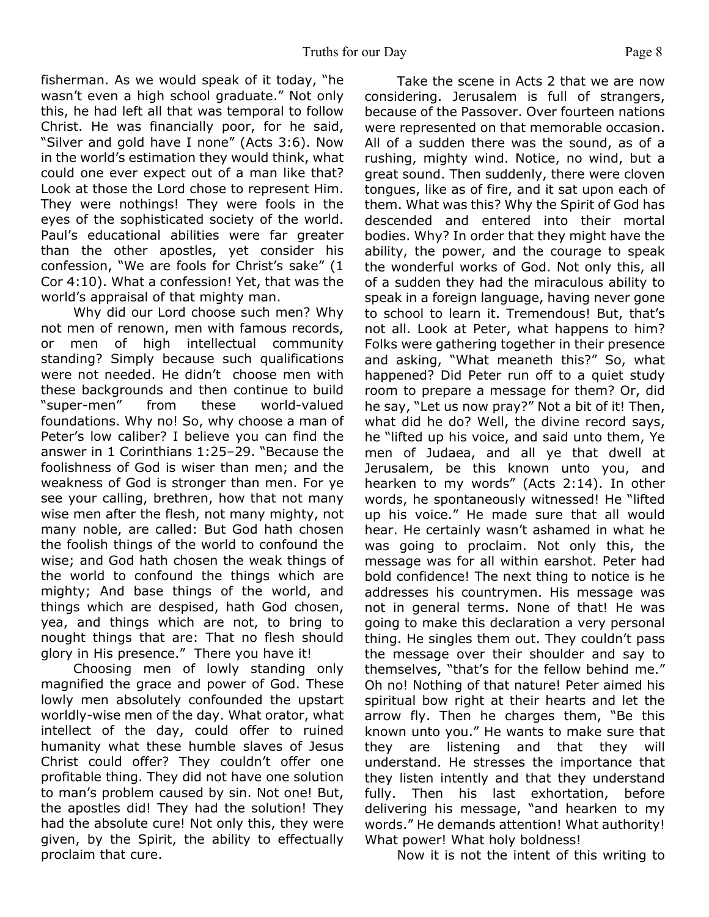fisherman. As we would speak of it today, "he wasn't even a high school graduate." Not only this, he had left all that was temporal to follow Christ. He was financially poor, for he said, "Silver and gold have I none" (Acts 3:6). Now in the world's estimation they would think, what could one ever expect out of a man like that? Look at those the Lord chose to represent Him. They were nothings! They were fools in the eyes of the sophisticated society of the world. Paul's educational abilities were far greater than the other apostles, yet consider his confession, "We are fools for Christ's sake" (1 Cor 4:10). What a confession! Yet, that was the world's appraisal of that mighty man.

 Why did our Lord choose such men? Why not men of renown, men with famous records, or men of high intellectual community standing? Simply because such qualifications were not needed. He didn't choose men with these backgrounds and then continue to build "super-men" from these world-valued foundations. Why no! So, why choose a man of Peter's low caliber? I believe you can find the answer in 1 Corinthians 1:25–29. "Because the foolishness of God is wiser than men; and the weakness of God is stronger than men. For ye see your calling, brethren, how that not many wise men after the flesh, not many mighty, not many noble, are called: But God hath chosen the foolish things of the world to confound the wise; and God hath chosen the weak things of the world to confound the things which are mighty; And base things of the world, and things which are despised, hath God chosen, yea, and things which are not, to bring to nought things that are: That no flesh should glory in His presence." There you have it!

 Choosing men of lowly standing only magnified the grace and power of God. These lowly men absolutely confounded the upstart worldly-wise men of the day. What orator, what intellect of the day, could offer to ruined humanity what these humble slaves of Jesus Christ could offer? They couldn't offer one profitable thing. They did not have one solution to man's problem caused by sin. Not one! But, the apostles did! They had the solution! They had the absolute cure! Not only this, they were given, by the Spirit, the ability to effectually proclaim that cure.

 Take the scene in Acts 2 that we are now considering. Jerusalem is full of strangers, because of the Passover. Over fourteen nations were represented on that memorable occasion. All of a sudden there was the sound, as of a rushing, mighty wind. Notice, no wind, but a great sound. Then suddenly, there were cloven tongues, like as of fire, and it sat upon each of them. What was this? Why the Spirit of God has descended and entered into their mortal bodies. Why? In order that they might have the ability, the power, and the courage to speak the wonderful works of God. Not only this, all of a sudden they had the miraculous ability to speak in a foreign language, having never gone to school to learn it. Tremendous! But, that's not all. Look at Peter, what happens to him? Folks were gathering together in their presence and asking, "What meaneth this?" So, what happened? Did Peter run off to a quiet study room to prepare a message for them? Or, did he say, "Let us now pray?" Not a bit of it! Then, what did he do? Well, the divine record says, he "lifted up his voice, and said unto them, Ye men of Judaea, and all ye that dwell at Jerusalem, be this known unto you, and hearken to my words" (Acts 2:14). In other words, he spontaneously witnessed! He "lifted up his voice." He made sure that all would hear. He certainly wasn't ashamed in what he was going to proclaim. Not only this, the message was for all within earshot. Peter had bold confidence! The next thing to notice is he addresses his countrymen. His message was not in general terms. None of that! He was going to make this declaration a very personal thing. He singles them out. They couldn't pass the message over their shoulder and say to themselves, "that's for the fellow behind me." Oh no! Nothing of that nature! Peter aimed his spiritual bow right at their hearts and let the arrow fly. Then he charges them, "Be this known unto you." He wants to make sure that they are listening and that they will understand. He stresses the importance that they listen intently and that they understand fully. Then his last exhortation, before delivering his message, "and hearken to my words." He demands attention! What authority! What power! What holy boldness!

Now it is not the intent of this writing to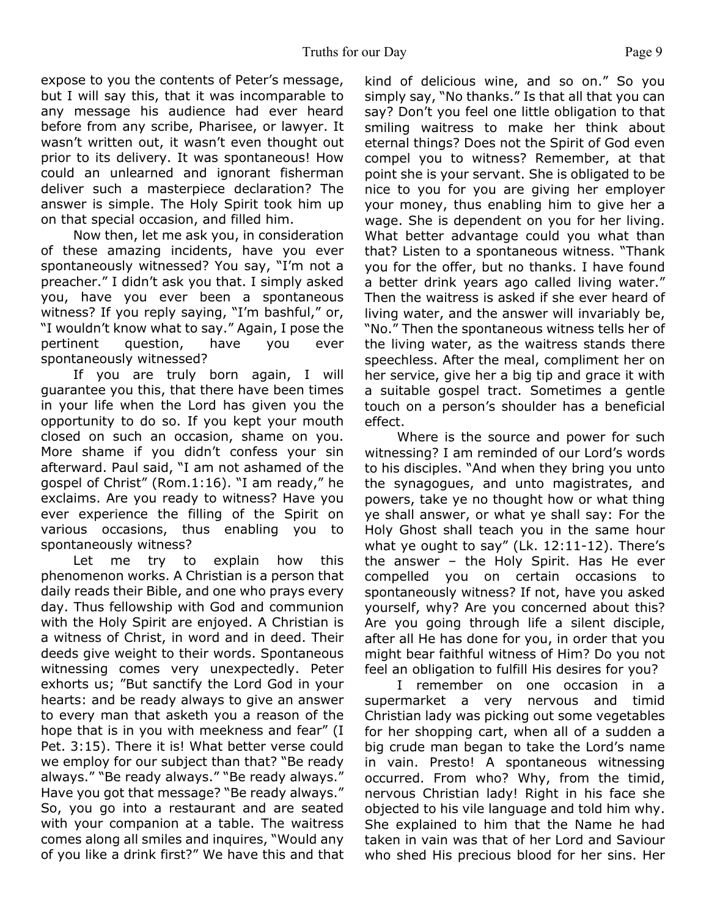expose to you the contents of Peter's message, but I will say this, that it was incomparable to any message his audience had ever heard before from any scribe, Pharisee, or lawyer. It wasn't written out, it wasn't even thought out prior to its delivery. It was spontaneous! How could an unlearned and ignorant fisherman deliver such a masterpiece declaration? The answer is simple. The Holy Spirit took him up on that special occasion, and filled him.

 Now then, let me ask you, in consideration of these amazing incidents, have you ever spontaneously witnessed? You say, "I'm not a preacher." I didn't ask you that. I simply asked you, have you ever been a spontaneous witness? If you reply saying, "I'm bashful," or, "I wouldn't know what to say." Again, I pose the pertinent question, have you ever spontaneously witnessed?

 If you are truly born again, I will guarantee you this, that there have been times in your life when the Lord has given you the opportunity to do so. If you kept your mouth closed on such an occasion, shame on you. More shame if you didn't confess your sin afterward. Paul said, "I am not ashamed of the gospel of Christ" (Rom.1:16). "I am ready," he exclaims. Are you ready to witness? Have you ever experience the filling of the Spirit on various occasions, thus enabling you to spontaneously witness?

 Let me try to explain how this phenomenon works. A Christian is a person that daily reads their Bible, and one who prays every day. Thus fellowship with God and communion with the Holy Spirit are enjoyed. A Christian is a witness of Christ, in word and in deed. Their deeds give weight to their words. Spontaneous witnessing comes very unexpectedly. Peter exhorts us; "But sanctify the Lord God in your hearts: and be ready always to give an answer to every man that asketh you a reason of the hope that is in you with meekness and fear" (I Pet. 3:15). There it is! What better verse could we employ for our subject than that? "Be ready always." "Be ready always." "Be ready always." Have you got that message? "Be ready always." So, you go into a restaurant and are seated with your companion at a table. The waitress comes along all smiles and inquires, "Would any of you like a drink first?" We have this and that kind of delicious wine, and so on." So you simply say, "No thanks." Is that all that you can say? Don't you feel one little obligation to that smiling waitress to make her think about eternal things? Does not the Spirit of God even compel you to witness? Remember, at that point she is your servant. She is obligated to be nice to you for you are giving her employer your money, thus enabling him to give her a wage. She is dependent on you for her living. What better advantage could you what than that? Listen to a spontaneous witness. "Thank you for the offer, but no thanks. I have found a better drink years ago called living water." Then the waitress is asked if she ever heard of living water, and the answer will invariably be, "No." Then the spontaneous witness tells her of the living water, as the waitress stands there speechless. After the meal, compliment her on her service, give her a big tip and grace it with a suitable gospel tract. Sometimes a gentle touch on a person's shoulder has a beneficial effect.

 Where is the source and power for such witnessing? I am reminded of our Lord's words to his disciples. "And when they bring you unto the synagogues, and unto magistrates, and powers, take ye no thought how or what thing ye shall answer, or what ye shall say: For the Holy Ghost shall teach you in the same hour what ye ought to say" (Lk. 12:11-12). There's the answer – the Holy Spirit. Has He ever compelled you on certain occasions to spontaneously witness? If not, have you asked yourself, why? Are you concerned about this? Are you going through life a silent disciple, after all He has done for you, in order that you might bear faithful witness of Him? Do you not feel an obligation to fulfill His desires for you?

 I remember on one occasion in a supermarket a very nervous and timid Christian lady was picking out some vegetables for her shopping cart, when all of a sudden a big crude man began to take the Lord's name in vain. Presto! A spontaneous witnessing occurred. From who? Why, from the timid, nervous Christian lady! Right in his face she objected to his vile language and told him why. She explained to him that the Name he had taken in vain was that of her Lord and Saviour who shed His precious blood for her sins. Her